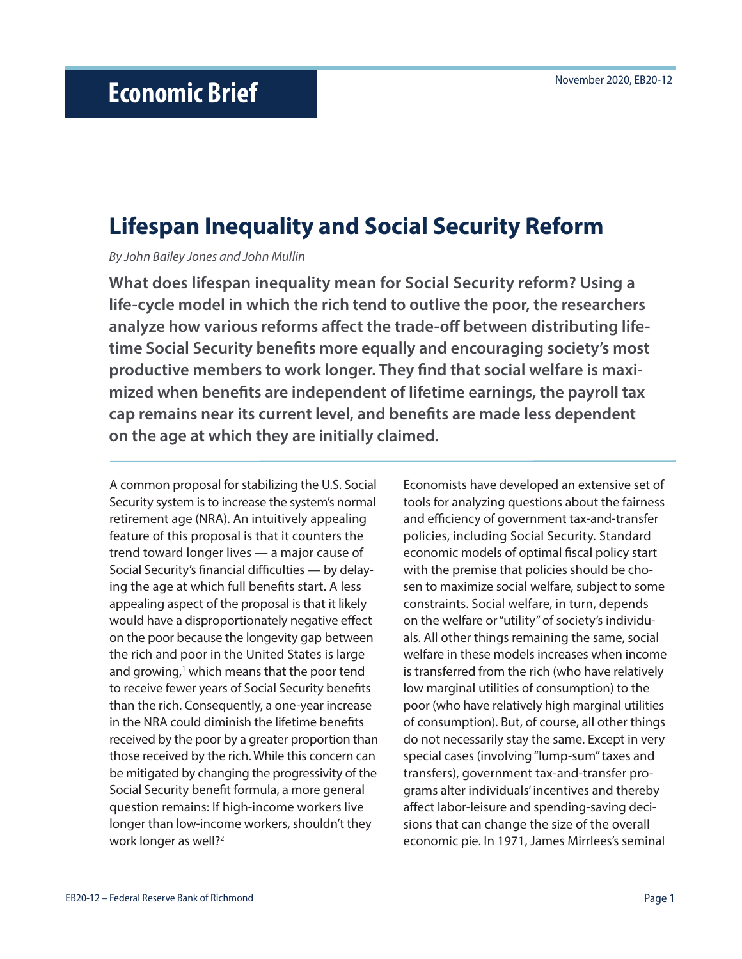# **Lifespan Inequality and Social Security Reform**

*By John Bailey Jones and John Mullin*

**What does lifespan inequality mean for Social Security reform? Using a life-cycle model in which the rich tend to outlive the poor, the researchers analyze how various reforms affect the trade-off between distributing lifetime Social Security benefits more equally and encouraging society's most productive members to work longer. They find that social welfare is maximized when benefits are independent of lifetime earnings, the payroll tax cap remains near its current level, and benefits are made less dependent on the age at which they are initially claimed.** 

A common proposal for stabilizing the U.S. Social Security system is to increase the system's normal retirement age (NRA). An intuitively appealing feature of this proposal is that it counters the trend toward longer lives — a major cause of Social Security's financial difficulties — by delaying the age at which full benefits start. A less appealing aspect of the proposal is that it likely would have a disproportionately negative effect on the poor because the longevity gap between the rich and poor in the United States is large and growing,<sup>1</sup> which means that the poor tend to receive fewer years of Social Security benefits than the rich. Consequently, a one-year increase in the NRA could diminish the lifetime benefits received by the poor by a greater proportion than those received by the rich. While this concern can be mitigated by changing the progressivity of the Social Security benefit formula, a more general question remains: If high-income workers live longer than low-income workers, shouldn't they work longer as well?<sup>2</sup>

Economists have developed an extensive set of tools for analyzing questions about the fairness and efficiency of government tax-and-transfer policies, including Social Security. Standard economic models of optimal fiscal policy start with the premise that policies should be chosen to maximize social welfare, subject to some constraints. Social welfare, in turn, depends on the welfare or "utility" of society's individuals. All other things remaining the same, social welfare in these models increases when income is transferred from the rich (who have relatively low marginal utilities of consumption) to the poor (who have relatively high marginal utilities of consumption). But, of course, all other things do not necessarily stay the same. Except in very special cases (involving "lump-sum" taxes and transfers), government tax-and-transfer programs alter individuals' incentives and thereby affect labor-leisure and spending-saving decisions that can change the size of the overall economic pie. In 1971, James Mirrlees's seminal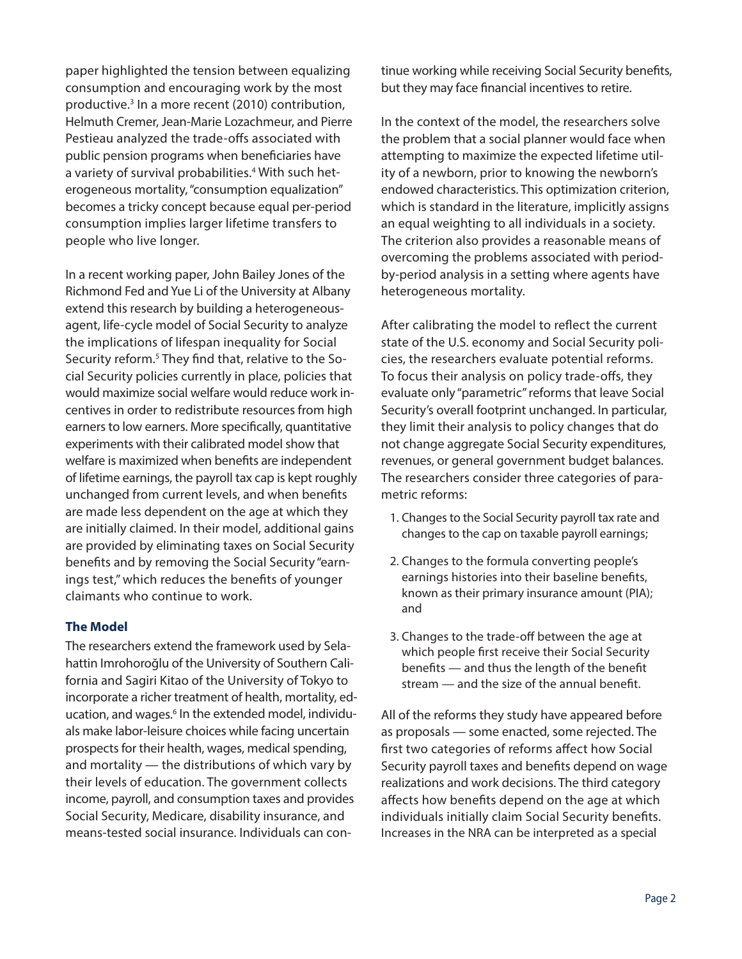paper highlighted the tension between equalizing consumption and encouraging work by the most productive.3 In a more recent (2010) contribution, Helmuth Cremer, Jean-Marie Lozachmeur, and Pierre Pestieau analyzed the trade-offs associated with public pension programs when beneficiaries have a variety of survival probabilities.<sup>4</sup> With such heterogeneous mortality, "consumption equalization" becomes a tricky concept because equal per-period consumption implies larger lifetime transfers to people who live longer.

In a recent working paper, John Bailey Jones of the Richmond Fed and Yue Li of the University at Albany extend this research by building a heterogeneousagent, life-cycle model of Social Security to analyze the implications of lifespan inequality for Social Security reform.<sup>5</sup> They find that, relative to the Social Security policies currently in place, policies that would maximize social welfare would reduce work incentives in order to redistribute resources from high earners to low earners. More specifically, quantitative experiments with their calibrated model show that welfare is maximized when benefits are independent of lifetime earnings, the payroll tax cap is kept roughly unchanged from current levels, and when benefits are made less dependent on the age at which they are initially claimed. In their model, additional gains are provided by eliminating taxes on Social Security benefits and by removing the Social Security "earnings test," which reduces the benefits of younger claimants who continue to work.

### **The Model**

The researchers extend the framework used by Selahattin Imrohoroğlu of the University of Southern California and Sagiri Kitao of the University of Tokyo to incorporate a richer treatment of health, mortality, education, and wages.<sup>6</sup> In the extended model, individuals make labor-leisure choices while facing uncertain prospects for their health, wages, medical spending, and mortality — the distributions of which vary by their levels of education. The government collects income, payroll, and consumption taxes and provides Social Security, Medicare, disability insurance, and means-tested social insurance. Individuals can continue working while receiving Social Security benefits, but they may face financial incentives to retire.

In the context of the model, the researchers solve the problem that a social planner would face when attempting to maximize the expected lifetime utility of a newborn, prior to knowing the newborn's endowed characteristics. This optimization criterion, which is standard in the literature, implicitly assigns an equal weighting to all individuals in a society. The criterion also provides a reasonable means of overcoming the problems associated with periodby-period analysis in a setting where agents have heterogeneous mortality.

After calibrating the model to reflect the current state of the U.S. economy and Social Security policies, the researchers evaluate potential reforms. To focus their analysis on policy trade-offs, they evaluate only "parametric" reforms that leave Social Security's overall footprint unchanged. In particular, they limit their analysis to policy changes that do not change aggregate Social Security expenditures, revenues, or general government budget balances. The researchers consider three categories of parametric reforms:

- 1. Changes to the Social Security payroll tax rate and changes to the cap on taxable payroll earnings;
- 2. Changes to the formula converting people's earnings histories into their baseline benefits, known as their primary insurance amount (PIA); and
- 3. Changes to the trade-off between the age at which people first receive their Social Security benefits — and thus the length of the benefit stream — and the size of the annual benefit.

All of the reforms they study have appeared before as proposals — some enacted, some rejected. The first two categories of reforms affect how Social Security payroll taxes and benefits depend on wage realizations and work decisions. The third category affects how benefits depend on the age at which individuals initially claim Social Security benefits. Increases in the NRA can be interpreted as a special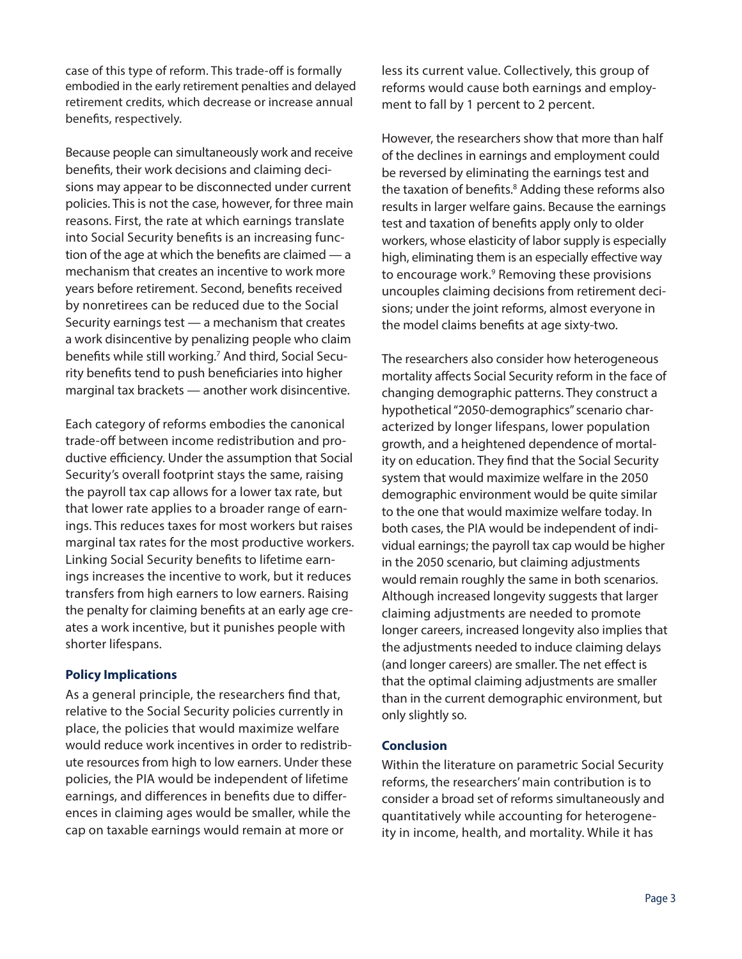case of this type of reform. This trade-off is formally embodied in the early retirement penalties and delayed retirement credits, which decrease or increase annual benefits, respectively.

Because people can simultaneously work and receive benefits, their work decisions and claiming decisions may appear to be disconnected under current policies. This is not the case, however, for three main reasons. First, the rate at which earnings translate into Social Security benefits is an increasing function of the age at which the benefits are claimed — a mechanism that creates an incentive to work more years before retirement. Second, benefits received by nonretirees can be reduced due to the Social Security earnings test — a mechanism that creates a work disincentive by penalizing people who claim benefits while still working.7 And third, Social Security benefits tend to push beneficiaries into higher marginal tax brackets — another work disincentive.

Each category of reforms embodies the canonical trade-off between income redistribution and productive efficiency. Under the assumption that Social Security's overall footprint stays the same, raising the payroll tax cap allows for a lower tax rate, but that lower rate applies to a broader range of earnings. This reduces taxes for most workers but raises marginal tax rates for the most productive workers. Linking Social Security benefits to lifetime earnings increases the incentive to work, but it reduces transfers from high earners to low earners. Raising the penalty for claiming benefits at an early age creates a work incentive, but it punishes people with shorter lifespans.

### **Policy Implications**

As a general principle, the researchers find that, relative to the Social Security policies currently in place, the policies that would maximize welfare would reduce work incentives in order to redistribute resources from high to low earners. Under these policies, the PIA would be independent of lifetime earnings, and differences in benefits due to differences in claiming ages would be smaller, while the cap on taxable earnings would remain at more or

less its current value. Collectively, this group of reforms would cause both earnings and employment to fall by 1 percent to 2 percent.

However, the researchers show that more than half of the declines in earnings and employment could be reversed by eliminating the earnings test and the taxation of benefits.8 Adding these reforms also results in larger welfare gains. Because the earnings test and taxation of benefits apply only to older workers, whose elasticity of labor supply is especially high, eliminating them is an especially effective way to encourage work.<sup>9</sup> Removing these provisions uncouples claiming decisions from retirement decisions; under the joint reforms, almost everyone in the model claims benefits at age sixty-two.

The researchers also consider how heterogeneous mortality affects Social Security reform in the face of changing demographic patterns. They construct a hypothetical "2050-demographics" scenario characterized by longer lifespans, lower population growth, and a heightened dependence of mortality on education. They find that the Social Security system that would maximize welfare in the 2050 demographic environment would be quite similar to the one that would maximize welfare today. In both cases, the PIA would be independent of individual earnings; the payroll tax cap would be higher in the 2050 scenario, but claiming adjustments would remain roughly the same in both scenarios. Although increased longevity suggests that larger claiming adjustments are needed to promote longer careers, increased longevity also implies that the adjustments needed to induce claiming delays (and longer careers) are smaller. The net effect is that the optimal claiming adjustments are smaller than in the current demographic environment, but only slightly so.

### **Conclusion**

Within the literature on parametric Social Security reforms, the researchers' main contribution is to consider a broad set of reforms simultaneously and quantitatively while accounting for heterogeneity in income, health, and mortality. While it has